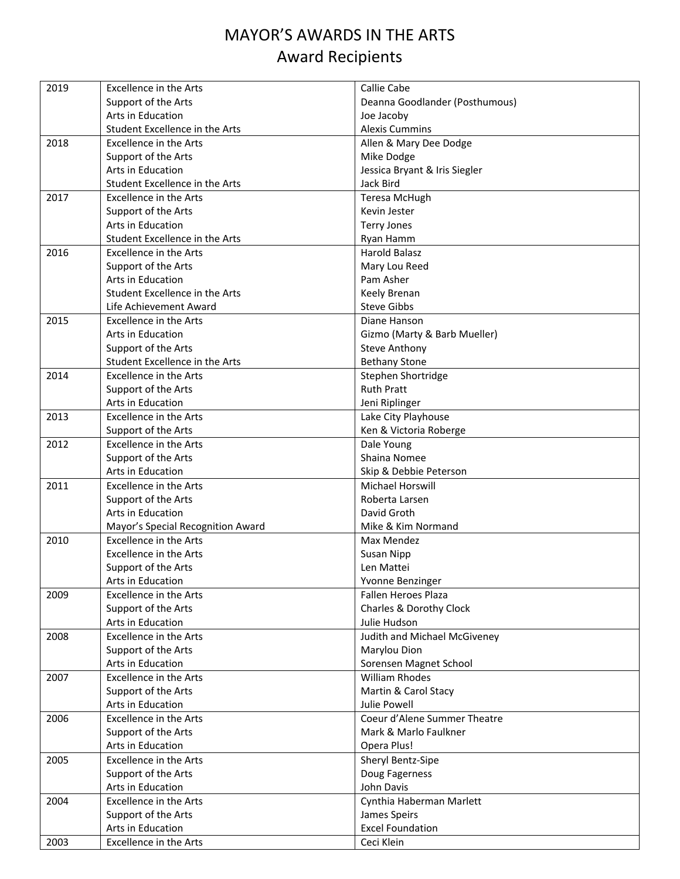## MAYOR'S AWARDS IN THE ARTS Award Recipients

| 2019 | <b>Excellence in the Arts</b>     | Callie Cabe                    |
|------|-----------------------------------|--------------------------------|
|      | Support of the Arts               | Deanna Goodlander (Posthumous) |
|      | Arts in Education                 | Joe Jacoby                     |
|      | Student Excellence in the Arts    | <b>Alexis Cummins</b>          |
| 2018 | <b>Excellence in the Arts</b>     | Allen & Mary Dee Dodge         |
|      | Support of the Arts               | Mike Dodge                     |
|      | Arts in Education                 | Jessica Bryant & Iris Siegler  |
|      | Student Excellence in the Arts    | Jack Bird                      |
| 2017 | <b>Excellence in the Arts</b>     | <b>Teresa McHugh</b>           |
|      | Support of the Arts               | Kevin Jester                   |
|      | <b>Arts in Education</b>          | <b>Terry Jones</b>             |
|      | Student Excellence in the Arts    | Ryan Hamm                      |
| 2016 | Excellence in the Arts            | Harold Balasz                  |
|      | Support of the Arts               | Mary Lou Reed                  |
|      | Arts in Education                 | Pam Asher                      |
|      | Student Excellence in the Arts    | Keely Brenan                   |
|      | Life Achievement Award            | <b>Steve Gibbs</b>             |
| 2015 | <b>Excellence in the Arts</b>     | Diane Hanson                   |
|      | Arts in Education                 | Gizmo (Marty & Barb Mueller)   |
|      | Support of the Arts               | <b>Steve Anthony</b>           |
|      | Student Excellence in the Arts    | <b>Bethany Stone</b>           |
| 2014 | <b>Excellence in the Arts</b>     | Stephen Shortridge             |
|      | Support of the Arts               | <b>Ruth Pratt</b>              |
|      | Arts in Education                 | Jeni Riplinger                 |
| 2013 | <b>Excellence in the Arts</b>     | Lake City Playhouse            |
|      | Support of the Arts               | Ken & Victoria Roberge         |
| 2012 | <b>Excellence in the Arts</b>     | Dale Young                     |
|      | Support of the Arts               | Shaina Nomee                   |
|      | Arts in Education                 | Skip & Debbie Peterson         |
| 2011 | <b>Excellence in the Arts</b>     | Michael Horswill               |
|      | Support of the Arts               | Roberta Larsen                 |
|      | Arts in Education                 | David Groth                    |
|      | Mayor's Special Recognition Award | Mike & Kim Normand             |
| 2010 | <b>Excellence in the Arts</b>     | Max Mendez                     |
|      | Excellence in the Arts            | Susan Nipp                     |
|      | Support of the Arts               | Len Mattei                     |
|      | Arts in Education                 | Yvonne Benzinger               |
| 2009 | <b>Excellence in the Arts</b>     | Fallen Heroes Plaza            |
|      | Support of the Arts               | Charles & Dorothy Clock        |
|      | Arts in Education                 | Julie Hudson                   |
| 2008 | <b>Excellence in the Arts</b>     | Judith and Michael McGiveney   |
|      | Support of the Arts               | Marylou Dion                   |
|      | Arts in Education                 | Sorensen Magnet School         |
| 2007 | Excellence in the Arts            | <b>William Rhodes</b>          |
|      | Support of the Arts               | Martin & Carol Stacy           |
|      | Arts in Education                 | <b>Julie Powell</b>            |
| 2006 | Excellence in the Arts            | Coeur d'Alene Summer Theatre   |
|      | Support of the Arts               | Mark & Marlo Faulkner          |
|      | Arts in Education                 | Opera Plus!                    |
| 2005 | <b>Excellence in the Arts</b>     | Sheryl Bentz-Sipe              |
|      | Support of the Arts               | Doug Fagerness                 |
|      | Arts in Education                 | John Davis                     |
| 2004 | Excellence in the Arts            | Cynthia Haberman Marlett       |
|      | Support of the Arts               | James Speirs                   |
|      | Arts in Education                 | <b>Excel Foundation</b>        |
| 2003 | Excellence in the Arts            | Ceci Klein                     |